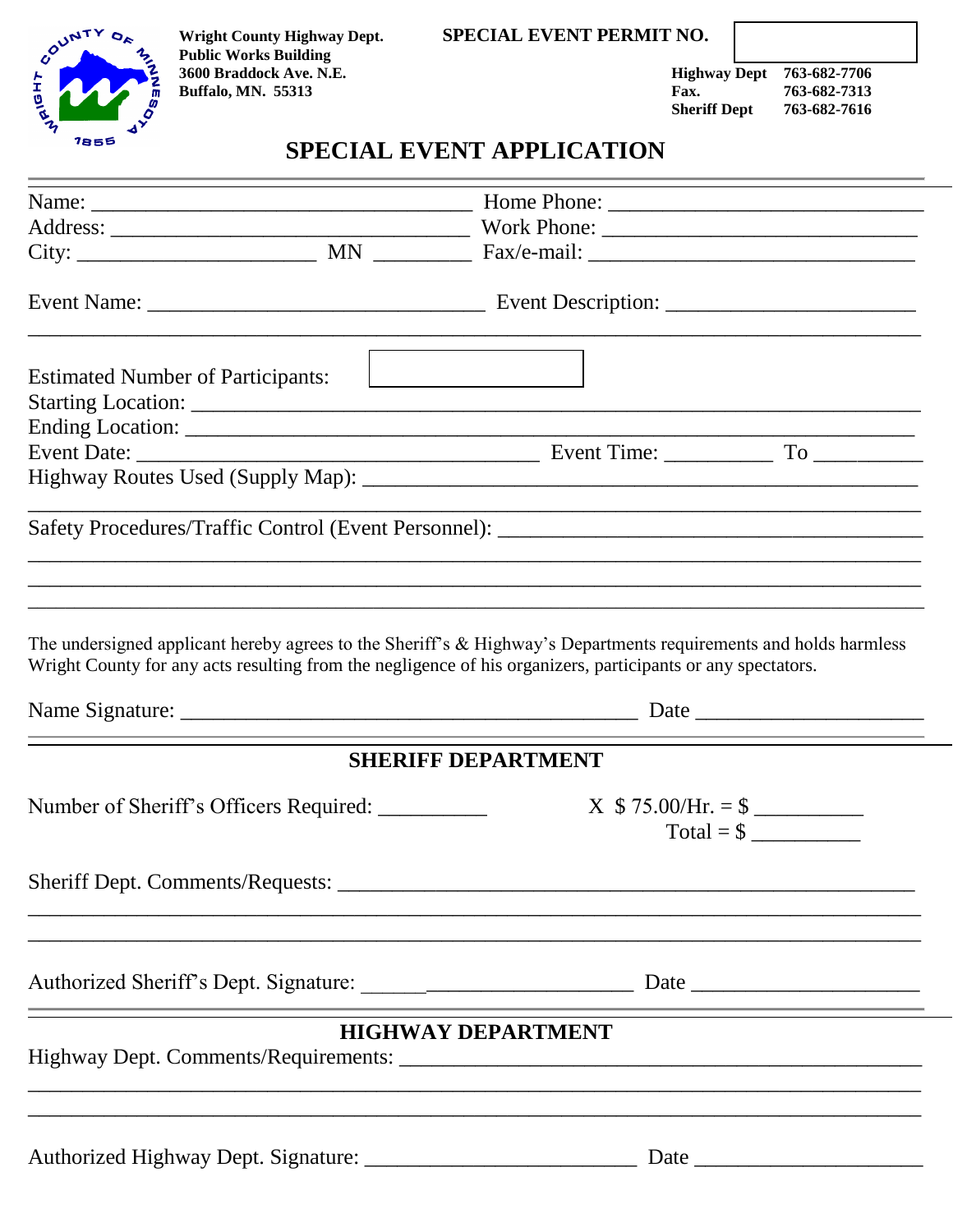#### **Wright County Highway Dept. SPECIAL EVENT PERMIT NO.**



 **Public Works Building 3600 Braddock Ave. N.E. Highway Dept 763-682-7706** 

**Buffalo, MN. 55313 Fax.** 763-682-7313<br> **Sheriff Dept** 763-682-7616

# **Sheriff Dept 763-682-7616**

## **SPECIAL EVENT APPLICATION**

| <b>Estimated Number of Participants:</b>                                                                                                                                                                                        | <u> 1990 - Johann Barbara, martin a</u>                                                                                                            |                                                                                                                                                                                                                                      |
|---------------------------------------------------------------------------------------------------------------------------------------------------------------------------------------------------------------------------------|----------------------------------------------------------------------------------------------------------------------------------------------------|--------------------------------------------------------------------------------------------------------------------------------------------------------------------------------------------------------------------------------------|
|                                                                                                                                                                                                                                 |                                                                                                                                                    |                                                                                                                                                                                                                                      |
|                                                                                                                                                                                                                                 |                                                                                                                                                    |                                                                                                                                                                                                                                      |
|                                                                                                                                                                                                                                 |                                                                                                                                                    | <u> 1989 - Johann John Harry, mars and de final and de final and definition of the set of the set of the set of the set of the set of the set of the set of the set of the set of the set of the set of the set of the set of th</u> |
| <u> 1999 - Johann Stoff, deutscher Stoff, der Stoff, der Stoff, der Stoff, der Stoff, der Stoff, der Stoff, der S</u>                                                                                                           |                                                                                                                                                    |                                                                                                                                                                                                                                      |
| The undersigned applicant hereby agrees to the Sheriff's & Highway's Departments requirements and holds harmless<br>Wright County for any acts resulting from the negligence of his organizers, participants or any spectators. |                                                                                                                                                    |                                                                                                                                                                                                                                      |
|                                                                                                                                                                                                                                 |                                                                                                                                                    |                                                                                                                                                                                                                                      |
|                                                                                                                                                                                                                                 | <b>SHERIFF DEPARTMENT</b>                                                                                                                          |                                                                                                                                                                                                                                      |
|                                                                                                                                                                                                                                 | $X$ \$ 75.00/Hr. = \$<br>$Total = $$                                                                                                               |                                                                                                                                                                                                                                      |
| Sheriff Dept. Comments/Requests: _________                                                                                                                                                                                      |                                                                                                                                                    |                                                                                                                                                                                                                                      |
|                                                                                                                                                                                                                                 | <u> 1989 - Andrea Santa Andrea Andrea Andrea Andrea Andrea Andrea Andrea Andrea Andrea Andrea Andrea Andrea Andr</u>                               |                                                                                                                                                                                                                                      |
|                                                                                                                                                                                                                                 |                                                                                                                                                    |                                                                                                                                                                                                                                      |
|                                                                                                                                                                                                                                 | <b>HIGHWAY DEPARTMENT</b><br><u> 1989 - Johann Stoff, deutscher Stoff, der Stoff, der Stoff, der Stoff, der Stoff, der Stoff, der Stoff, der S</u> |                                                                                                                                                                                                                                      |
|                                                                                                                                                                                                                                 |                                                                                                                                                    |                                                                                                                                                                                                                                      |